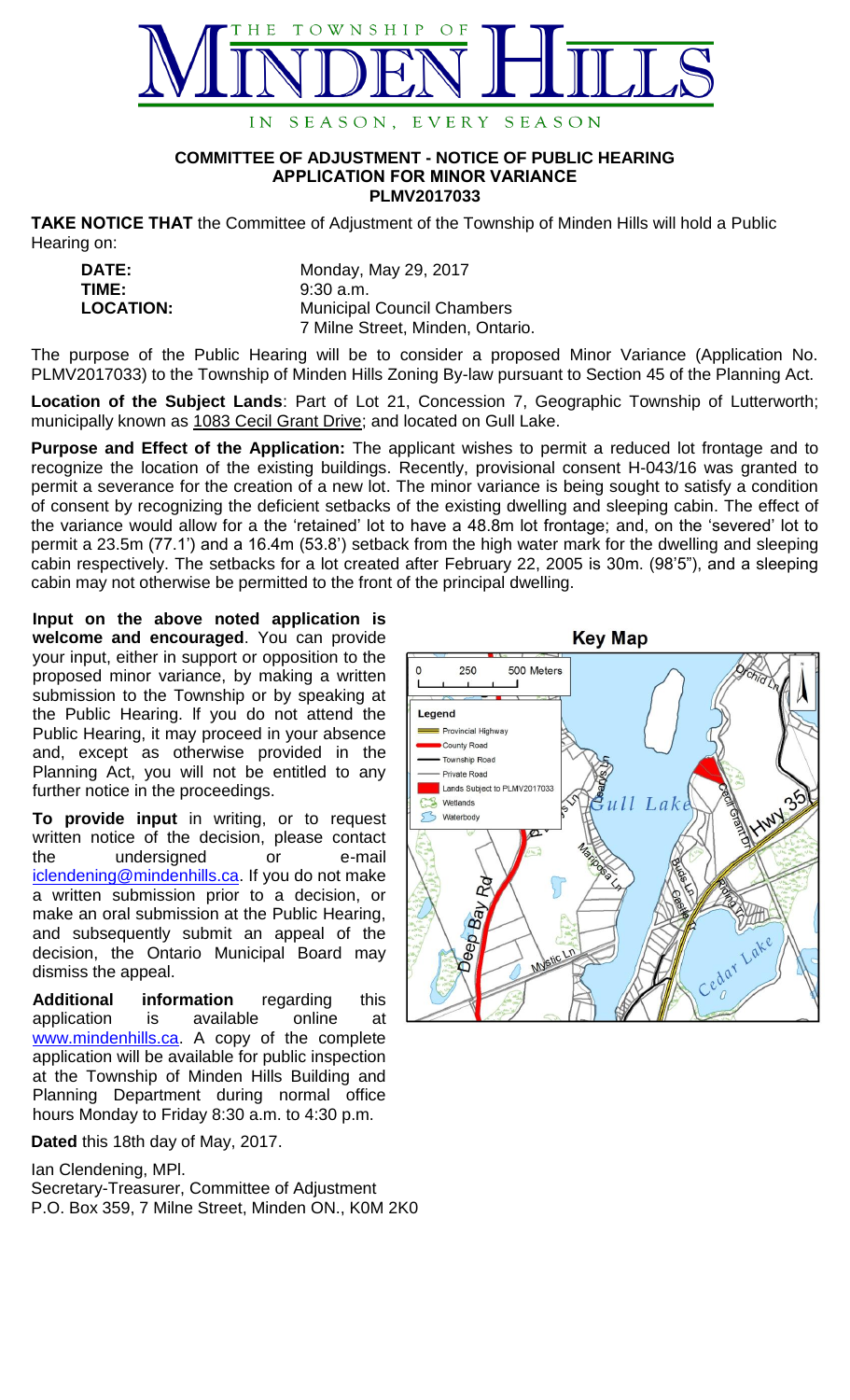

## **COMMITTEE OF ADJUSTMENT - NOTICE OF PUBLIC HEARING APPLICATION FOR MINOR VARIANCE PLMV2017033**

**TAKE NOTICE THAT** the Committee of Adjustment of the Township of Minden Hills will hold a Public Hearing on:

| <b>DATE:</b>     | Monday, May 29, 2017              |
|------------------|-----------------------------------|
| TIME:            | $9:30$ a.m.                       |
| <b>LOCATION:</b> | <b>Municipal Council Chambers</b> |
|                  | 7 Milne Street, Minden, Ontario.  |

The purpose of the Public Hearing will be to consider a proposed Minor Variance (Application No. PLMV2017033) to the Township of Minden Hills Zoning By-law pursuant to Section 45 of the Planning Act.

**Location of the Subject Lands**: Part of Lot 21, Concession 7, Geographic Township of Lutterworth; municipally known as 1083 Cecil Grant Drive; and located on Gull Lake.

**Purpose and Effect of the Application:** The applicant wishes to permit a reduced lot frontage and to recognize the location of the existing buildings. Recently, provisional consent H-043/16 was granted to permit a severance for the creation of a new lot. The minor variance is being sought to satisfy a condition of consent by recognizing the deficient setbacks of the existing dwelling and sleeping cabin. The effect of the variance would allow for a the 'retained' lot to have a 48.8m lot frontage; and, on the 'severed' lot to permit a 23.5m (77.1') and a 16.4m (53.8') setback from the high water mark for the dwelling and sleeping cabin respectively. The setbacks for a lot created after February 22, 2005 is 30m. (98'5"), and a sleeping cabin may not otherwise be permitted to the front of the principal dwelling.

**Input on the above noted application is welcome and encouraged**. You can provide your input, either in support or opposition to the proposed minor variance, by making a written submission to the Township or by speaking at the Public Hearing. lf you do not attend the Public Hearing, it may proceed in your absence and, except as otherwise provided in the Planning Act, you will not be entitled to any further notice in the proceedings.

**To provide input** in writing, or to request written notice of the decision, please contact the undersigned or e-mail [iclendening@mindenhills.ca.](mailto:iclendening@mindenhills.ca) If you do not make a written submission prior to a decision, or make an oral submission at the Public Hearing, and subsequently submit an appeal of the decision, the Ontario Municipal Board may dismiss the appeal.

**Additional information** regarding this application is available online at [www.mindenhills.ca.](http://www.mindenhills.ca/) A copy of the complete application will be available for public inspection at the Township of Minden Hills Building and Planning Department during normal office hours Monday to Friday 8:30 a.m. to 4:30 p.m.

**Dated** this 18th day of May, 2017.

Ian Clendening, MPl.

Secretary-Treasurer, Committee of Adjustment P.O. Box 359, 7 Milne Street, Minden ON., K0M 2K0